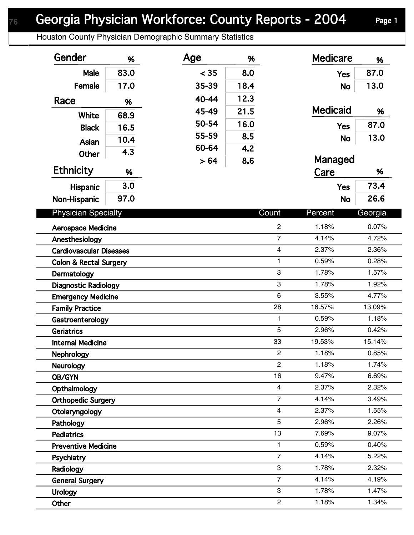Houston County Physician Demographic Summary Statistics

| Gender                                | %    | Age   | %    |                                  | <b>Medicare</b> | %              |
|---------------------------------------|------|-------|------|----------------------------------|-----------------|----------------|
| Male                                  | 83.0 | < 35  | 8.0  |                                  | <b>Yes</b>      | 87.0           |
| Female                                | 17.0 | 35-39 | 18.4 |                                  | <b>No</b>       | 13.0           |
| Race                                  | %    | 40-44 | 12.3 |                                  |                 |                |
|                                       |      | 45-49 | 21.5 |                                  | <b>Medicaid</b> | %              |
| White                                 | 68.9 | 50-54 | 16.0 |                                  | <b>Yes</b>      | 87.0           |
| <b>Black</b>                          | 16.5 | 55-59 | 8.5  |                                  |                 | 13.0           |
| Asian                                 | 10.4 | 60-64 | 4.2  |                                  | <b>No</b>       |                |
| <b>Other</b>                          | 4.3  | > 64  | 8.6  |                                  | Managed         |                |
| <b>Ethnicity</b>                      | %    |       |      |                                  | Care            | %              |
| Hispanic                              | 3.0  |       |      |                                  | <b>Yes</b>      | 73.4           |
| Non-Hispanic                          | 97.0 |       |      |                                  | <b>No</b>       | 26.6           |
| <b>Physician Specialty</b>            |      |       |      | Count                            | Percent         | Georgia        |
|                                       |      |       |      |                                  |                 |                |
| <b>Aerospace Medicine</b>             |      |       |      | $\overline{c}$<br>$\overline{7}$ | 1.18%           | 0.07%          |
| Anesthesiology                        |      |       |      |                                  | 4.14%           | 4.72%          |
| <b>Cardiovascular Diseases</b>        |      |       |      | $\overline{\mathbf{4}}$          | 2.37%<br>0.59%  | 2.36%<br>0.28% |
| <b>Colon &amp; Rectal Surgery</b>     |      |       |      | 1<br>3                           | 1.78%           | 1.57%          |
| Dermatology                           |      |       |      | 3                                | 1.78%           | 1.92%          |
| <b>Diagnostic Radiology</b>           |      |       |      | 6                                | 3.55%           | 4.77%          |
| <b>Emergency Medicine</b>             |      |       |      | 28                               | 16.57%          | 13.09%         |
| <b>Family Practice</b>                |      |       |      | $\mathbf{1}$                     | 0.59%           | 1.18%          |
| Gastroenterology<br><b>Geriatrics</b> |      |       |      | 5                                | 2.96%           | 0.42%          |
| <b>Internal Medicine</b>              |      |       |      | 33                               | 19.53%          | 15.14%         |
| Nephrology                            |      |       |      | $\mathcal{P}$                    | 1.18%           | 0.85%          |
| <b>Neurology</b>                      |      |       |      | $\overline{2}$                   | 1.18%           | 1.74%          |
| OB/GYN                                |      |       |      | 16                               | 9.47%           | 6.69%          |
| Opthalmology                          |      |       |      | $\overline{4}$                   | 2.37%           | 2.32%          |
| <b>Orthopedic Surgery</b>             |      |       |      | $\overline{7}$                   | 4.14%           | 3.49%          |
| Otolaryngology                        |      |       |      | $\overline{\mathbf{4}}$          | 2.37%           | 1.55%          |
| Pathology                             |      |       |      | 5                                | 2.96%           | 2.26%          |
| <b>Pediatrics</b>                     |      |       |      | 13                               | 7.69%           | 9.07%          |
| <b>Preventive Medicine</b>            |      |       |      | 1                                | 0.59%           | 0.40%          |
| Psychiatry                            |      |       |      | $\overline{7}$                   | 4.14%           | 5.22%          |
| Radiology                             |      |       |      | 3                                | 1.78%           | 2.32%          |
| <b>General Surgery</b>                |      |       |      | $\overline{7}$                   | 4.14%           | 4.19%          |
| <b>Urology</b>                        |      |       |      | 3                                | 1.78%           | 1.47%          |
| Other                                 |      |       |      | $\overline{c}$                   | 1.18%           | 1.34%          |